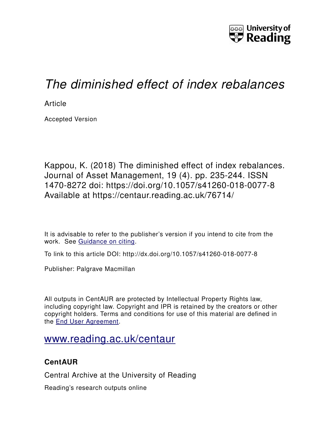

# *The diminished effect of index rebalances*

**Article** 

Accepted Version

Kappou, K. (2018) The diminished effect of index rebalances. Journal of Asset Management, 19 (4). pp. 235-244. ISSN 1470-8272 doi: https://doi.org/10.1057/s41260-018-0077-8 Available at https://centaur.reading.ac.uk/76714/

It is advisable to refer to the publisher's version if you intend to cite from the work. See [Guidance on citing.](http://centaur.reading.ac.uk/71187/10/CentAUR%20citing%20guide.pdf)

To link to this article DOI: http://dx.doi.org/10.1057/s41260-018-0077-8

Publisher: Palgrave Macmillan

All outputs in CentAUR are protected by Intellectual Property Rights law, including copyright law. Copyright and IPR is retained by the creators or other copyright holders. Terms and conditions for use of this material are defined in the [End User Agreement.](http://centaur.reading.ac.uk/licence)

# [www.reading.ac.uk/centaur](http://www.reading.ac.uk/centaur)

### **CentAUR**

Central Archive at the University of Reading

Reading's research outputs online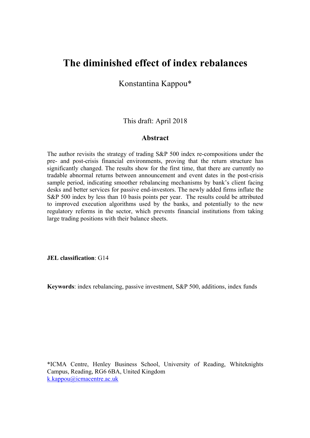## **The diminished effect of index rebalances**

Konstantina Kappou\*

This draft: April 2018

#### **Abstract**

The author revisits the strategy of trading S&P 500 index re-compositions under the pre- and post-crisis financial environments, proving that the return structure has significantly changed. The results show for the first time, that there are currently no tradable abnormal returns between announcement and event dates in the post-crisis sample period, indicating smoother rebalancing mechanisms by bank's client facing desks and better services for passive end-investors. The newly added firms inflate the S&P 500 index by less than 10 basis points per year. The results could be attributed to improved execution algorithms used by the banks, and potentially to the new regulatory reforms in the sector, which prevents financial institutions from taking large trading positions with their balance sheets.

**JEL classification**: G14

**Keywords**: index rebalancing, passive investment, S&P 500, additions, index funds

\*ICMA Centre, Henley Business School, University of Reading, Whiteknights Campus, Reading, RG6 6BA, United Kingdom k.kappou@icmacentre.ac.uk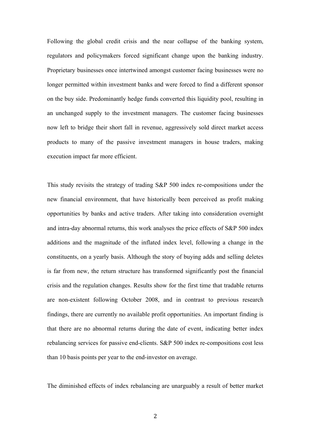Following the global credit crisis and the near collapse of the banking system, regulators and policymakers forced significant change upon the banking industry. Proprietary businesses once intertwined amongst customer facing businesses were no longer permitted within investment banks and were forced to find a different sponsor on the buy side. Predominantly hedge funds converted this liquidity pool, resulting in an unchanged supply to the investment managers. The customer facing businesses now left to bridge their short fall in revenue, aggressively sold direct market access products to many of the passive investment managers in house traders, making execution impact far more efficient.

This study revisits the strategy of trading S&P 500 index re-compositions under the new financial environment, that have historically been perceived as profit making opportunities by banks and active traders. After taking into consideration overnight and intra-day abnormal returns, this work analyses the price effects of S&P 500 index additions and the magnitude of the inflated index level, following a change in the constituents, on a yearly basis. Although the story of buying adds and selling deletes is far from new, the return structure has transformed significantly post the financial crisis and the regulation changes. Results show for the first time that tradable returns are non-existent following October 2008, and in contrast to previous research findings, there are currently no available profit opportunities. An important finding is that there are no abnormal returns during the date of event, indicating better index rebalancing services for passive end-clients. S&P 500 index re-compositions cost less than 10 basis points per year to the end-investor on average.

The diminished effects of index rebalancing are unarguably a result of better market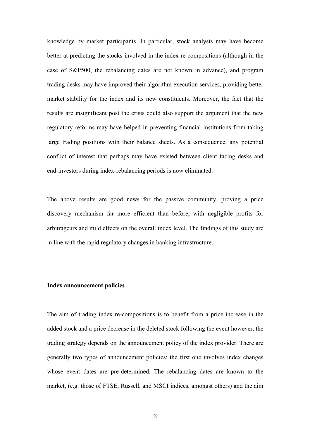knowledge by market participants. In particular, stock analysts may have become better at predicting the stocks involved in the index re-compositions (although in the case of S&P500, the rebalancing dates are not known in advance), and program trading desks may have improved their algorithm execution services, providing better market stability for the index and its new constituents. Moreover, the fact that the results are insignificant post the crisis could also support the argument that the new regulatory reforms may have helped in preventing financial institutions from taking large trading positions with their balance sheets. As a consequence, any potential conflict of interest that perhaps may have existed between client facing desks and end-investors during index-rebalancing periods is now eliminated.

The above results are good news for the passive community, proving a price discovery mechanism far more efficient than before, with negligible profits for arbitrageurs and mild effects on the overall index level. The findings of this study are in line with the rapid regulatory changes in banking infrastructure.

#### **Index announcement policies**

The aim of trading index re-compositions is to benefit from a price increase in the added stock and a price decrease in the deleted stock following the event however, the trading strategy depends on the announcement policy of the index provider. There are generally two types of announcement policies; the first one involves index changes whose event dates are pre-determined. The rebalancing dates are known to the market, (e.g. those of FTSE, Russell, and MSCI indices, amongst others) and the aim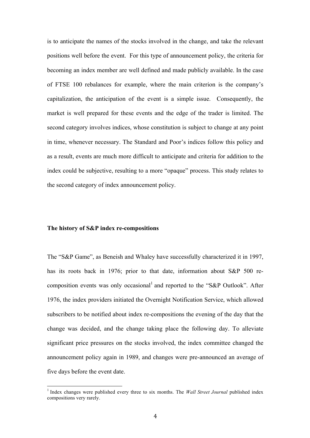is to anticipate the names of the stocks involved in the change, and take the relevant positions well before the event. For this type of announcement policy, the criteria for becoming an index member are well defined and made publicly available. In the case of FTSE 100 rebalances for example, where the main criterion is the company's capitalization, the anticipation of the event is a simple issue. Consequently, the market is well prepared for these events and the edge of the trader is limited. The second category involves indices, whose constitution is subject to change at any point in time, whenever necessary. The Standard and Poor's indices follow this policy and as a result, events are much more difficult to anticipate and criteria for addition to the index could be subjective, resulting to a more "opaque" process. This study relates to the second category of index announcement policy.

#### **The history of S&P index re-compositions**

The "S&P Game", as Beneish and Whaley have successfully characterized it in 1997, has its roots back in 1976; prior to that date, information about S&P 500 recomposition events was only occasional<sup>1</sup> and reported to the "S&P Outlook". After 1976, the index providers initiated the Overnight Notification Service, which allowed subscribers to be notified about index re-compositions the evening of the day that the change was decided, and the change taking place the following day. To alleviate significant price pressures on the stocks involved, the index committee changed the announcement policy again in 1989, and changes were pre-announced an average of five days before the event date.

<sup>&</sup>lt;sup>1</sup> Index changes were published every three to six months. The *Wall Street Journal* published index compositions very rarely.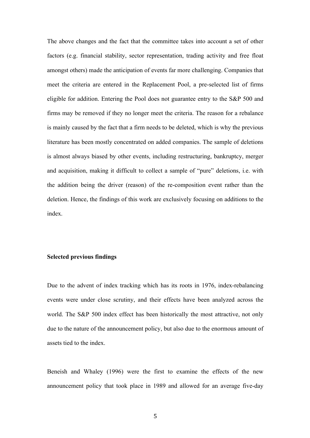The above changes and the fact that the committee takes into account a set of other factors (e.g. financial stability, sector representation, trading activity and free float amongst others) made the anticipation of events far more challenging. Companies that meet the criteria are entered in the Replacement Pool, a pre-selected list of firms eligible for addition. Entering the Pool does not guarantee entry to the S&P 500 and firms may be removed if they no longer meet the criteria. The reason for a rebalance is mainly caused by the fact that a firm needs to be deleted, which is why the previous literature has been mostly concentrated on added companies. The sample of deletions is almost always biased by other events, including restructuring, bankruptcy, merger and acquisition, making it difficult to collect a sample of "pure" deletions, i.e. with the addition being the driver (reason) of the re-composition event rather than the deletion. Hence, the findings of this work are exclusively focusing on additions to the index.

#### **Selected previous findings**

Due to the advent of index tracking which has its roots in 1976, index-rebalancing events were under close scrutiny, and their effects have been analyzed across the world. The S&P 500 index effect has been historically the most attractive, not only due to the nature of the announcement policy, but also due to the enormous amount of assets tied to the index.

Beneish and Whaley (1996) were the first to examine the effects of the new announcement policy that took place in 1989 and allowed for an average five-day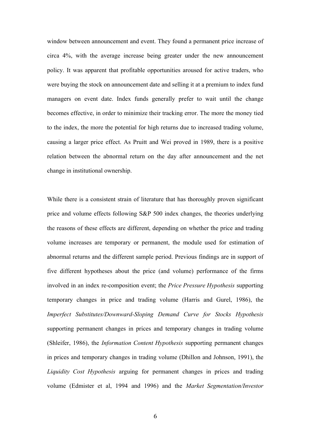window between announcement and event. They found a permanent price increase of circa 4%, with the average increase being greater under the new announcement policy. It was apparent that profitable opportunities aroused for active traders, who were buying the stock on announcement date and selling it at a premium to index fund managers on event date. Index funds generally prefer to wait until the change becomes effective, in order to minimize their tracking error. The more the money tied to the index, the more the potential for high returns due to increased trading volume, causing a larger price effect. As Pruitt and Wei proved in 1989, there is a positive relation between the abnormal return on the day after announcement and the net change in institutional ownership.

While there is a consistent strain of literature that has thoroughly proven significant price and volume effects following S&P 500 index changes, the theories underlying the reasons of these effects are different, depending on whether the price and trading volume increases are temporary or permanent, the module used for estimation of abnormal returns and the different sample period. Previous findings are in support of five different hypotheses about the price (and volume) performance of the firms involved in an index re-composition event; the *Price Pressure Hypothesis* supporting temporary changes in price and trading volume (Harris and Gurel, 1986), the *Imperfect Substitutes/Downward-Sloping Demand Curve for Stocks Hypothesis* supporting permanent changes in prices and temporary changes in trading volume (Shleifer, 1986), the *Information Content Hypothesis* supporting permanent changes in prices and temporary changes in trading volume (Dhillon and Johnson, 1991), the *Liquidity Cost Hypothesis* arguing for permanent changes in prices and trading volume (Edmister et al, 1994 and 1996) and the *Market Segmentation/Investor*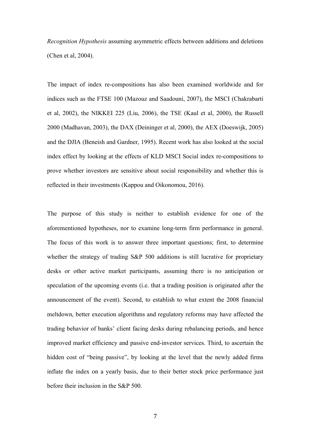*Recognition Hypothesis* assuming asymmetric effects between additions and deletions (Chen et al, 2004).

The impact of index re-compositions has also been examined worldwide and for indices such as the FTSE 100 (Mazouz and Saadouni, 2007), the MSCI (Chakrabarti et al, 2002), the NIKKEI 225 (Liu, 2006), the TSE (Kaul et al, 2000), the Russell 2000 (Madhavan, 2003), the DAX (Deininger et al, 2000), the AEX (Doeswijk, 2005) and the DJIA (Beneish and Gardner, 1995). Recent work has also looked at the social index effect by looking at the effects of KLD MSCI Social index re-compositions to prove whether investors are sensitive about social responsibility and whether this is reflected in their investments (Kappou and Oikonomou, 2016).

The purpose of this study is neither to establish evidence for one of the aforementioned hypotheses, nor to examine long-term firm performance in general. The focus of this work is to answer three important questions; first, to determine whether the strategy of trading S&P 500 additions is still lucrative for proprietary desks or other active market participants, assuming there is no anticipation or speculation of the upcoming events (i.e. that a trading position is originated after the announcement of the event). Second, to establish to what extent the 2008 financial meltdown, better execution algorithms and regulatory reforms may have affected the trading behavior of banks' client facing desks during rebalancing periods, and hence improved market efficiency and passive end-investor services. Third, to ascertain the hidden cost of "being passive", by looking at the level that the newly added firms inflate the index on a yearly basis, due to their better stock price performance just before their inclusion in the S&P 500.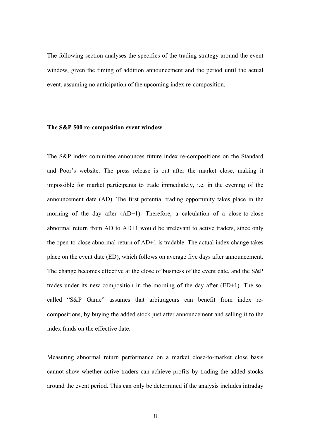The following section analyses the specifics of the trading strategy around the event window, given the timing of addition announcement and the period until the actual event, assuming no anticipation of the upcoming index re-composition.

#### **The S&P 500 re-composition event window**

The S&P index committee announces future index re-compositions on the Standard and Poor's website. The press release is out after the market close, making it impossible for market participants to trade immediately, i.e. in the evening of the announcement date (AD). The first potential trading opportunity takes place in the morning of the day after (AD+1). Therefore, a calculation of a close-to-close abnormal return from AD to AD+1 would be irrelevant to active traders, since only the open-to-close abnormal return of AD+1 is tradable. The actual index change takes place on the event date (ED), which follows on average five days after announcement. The change becomes effective at the close of business of the event date, and the S&P trades under its new composition in the morning of the day after (ED+1). The socalled "S&P Game" assumes that arbitrageurs can benefit from index recompositions, by buying the added stock just after announcement and selling it to the index funds on the effective date.

Measuring abnormal return performance on a market close-to-market close basis cannot show whether active traders can achieve profits by trading the added stocks around the event period. This can only be determined if the analysis includes intraday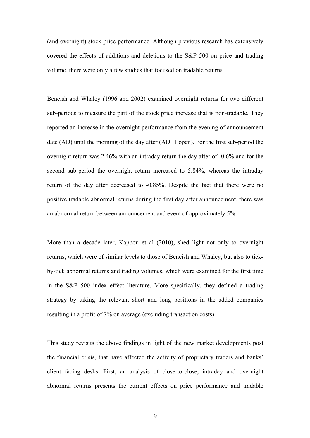(and overnight) stock price performance. Although previous research has extensively covered the effects of additions and deletions to the S&P 500 on price and trading volume, there were only a few studies that focused on tradable returns.

Beneish and Whaley (1996 and 2002) examined overnight returns for two different sub-periods to measure the part of the stock price increase that is non-tradable. They reported an increase in the overnight performance from the evening of announcement date (AD) until the morning of the day after (AD+1 open). For the first sub-period the overnight return was 2.46% with an intraday return the day after of -0.6% and for the second sub-period the overnight return increased to 5.84%, whereas the intraday return of the day after decreased to -0.85%. Despite the fact that there were no positive tradable abnormal returns during the first day after announcement, there was an abnormal return between announcement and event of approximately 5%.

More than a decade later, Kappou et al (2010), shed light not only to overnight returns, which were of similar levels to those of Beneish and Whaley, but also to tickby-tick abnormal returns and trading volumes, which were examined for the first time in the S&P 500 index effect literature. More specifically, they defined a trading strategy by taking the relevant short and long positions in the added companies resulting in a profit of 7% on average (excluding transaction costs).

This study revisits the above findings in light of the new market developments post the financial crisis, that have affected the activity of proprietary traders and banks' client facing desks. First, an analysis of close-to-close, intraday and overnight abnormal returns presents the current effects on price performance and tradable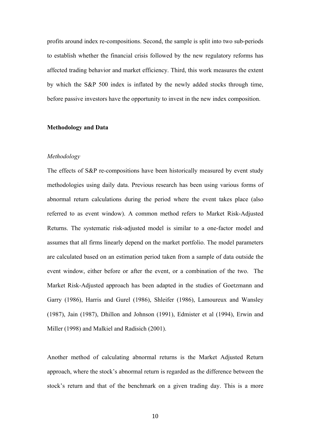profits around index re-compositions. Second, the sample is split into two sub-periods to establish whether the financial crisis followed by the new regulatory reforms has affected trading behavior and market efficiency. Third, this work measures the extent by which the S&P 500 index is inflated by the newly added stocks through time, before passive investors have the opportunity to invest in the new index composition.

#### **Methodology and Data**

#### *Methodology*

The effects of S&P re-compositions have been historically measured by event study methodologies using daily data. Previous research has been using various forms of abnormal return calculations during the period where the event takes place (also referred to as event window). A common method refers to Market Risk-Adjusted Returns. The systematic risk-adjusted model is similar to a one-factor model and assumes that all firms linearly depend on the market portfolio. The model parameters are calculated based on an estimation period taken from a sample of data outside the event window, either before or after the event, or a combination of the two. The Market Risk-Adjusted approach has been adapted in the studies of Goetzmann and Garry (1986), Harris and Gurel (1986), Shleifer (1986), Lamoureux and Wansley (1987), Jain (1987), Dhillon and Johnson (1991), Edmister et al (1994), Erwin and Miller (1998) and Malkiel and Radisich (2001).

Another method of calculating abnormal returns is the Market Adjusted Return approach, where the stock's abnormal return is regarded as the difference between the stock's return and that of the benchmark on a given trading day. This is a more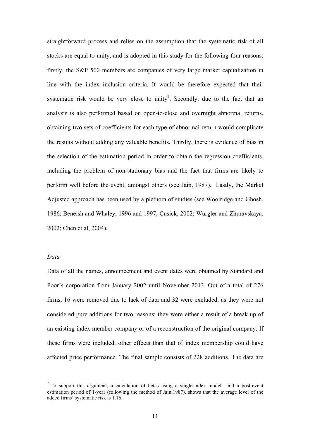straightforward process and relies on the assumption that the systematic risk of all stocks are equal to unity, and is adopted in this study for the following four reasons; firstly, the S&P 500 members are companies of very large market capitalization in line with the index inclusion criteria. It would be therefore expected that their systematic risk would be very close to unity<sup>2</sup>. Secondly, due to the fact that an analysis is also performed based on open-to-close and overnight abnormal returns, obtaining two sets of coefficients for each type of abnormal return would complicate the results without adding any valuable benefits. Thirdly, there is evidence of bias in the selection of the estimation period in order to obtain the regression coefficients, including the problem of non-stationary bias and the fact that firms are likely to perform well before the event, amongst others (see Jain, 1987). Lastly, the Market Adjusted approach has been used by a plethora of studies (see Woolridge and Ghosh, 1986; Beneish and Whaley, 1996 and 1997; Cusick, 2002; Wurgler and Zhuravskaya, 2002; Chen et al, 2004).

#### *Data*

Data of all the names, announcement and event dates were obtained by Standard and Poor's corporation from January 2002 until November 2013. Out of a total of 276 firms, 16 were removed due to lack of data and 32 were excluded, as they were not considered pure additions for two reasons; they were either a result of a break up of an existing index member company or of a reconstruction of the original company. If these firms were included, other effects than that of index membership could have affected price performance. The final sample consists of 228 additions. The data are

 $2^2$  To support this argument, a calculation of betas using a single-index model and a post-event estimation period of 1-year (following the method of Jain,1987), shows that the average level of the added firms' systematic risk is 1.16.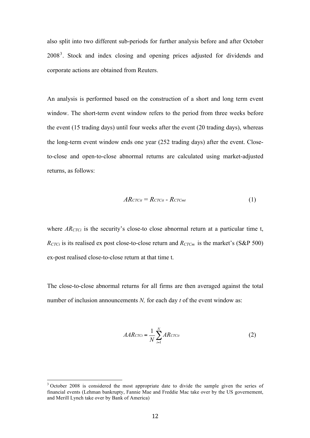also split into two different sub-periods for further analysis before and after October 2008<sup>3</sup>. Stock and index closing and opening prices adjusted for dividends and corporate actions are obtained from Reuters.

An analysis is performed based on the construction of a short and long term event window. The short-term event window refers to the period from three weeks before the event (15 trading days) until four weeks after the event (20 trading days), whereas the long-term event window ends one year (252 trading days) after the event. Closeto-close and open-to-close abnormal returns are calculated using market-adjusted returns, as follows:

$$
AR_{CTCit} = R_{CTCit} - R_{CTCmt} \tag{1}
$$

where *AR<sub>CTCi</sub>* is the security's close-to close abnormal return at a particular time t,  $R_{CTCi}$  is its realised ex post close-to-close return and  $R_{CTCm}$  is the market's (S&P 500) ex-post realised close-to-close return at that time t.

The close-to-close abnormal returns for all firms are then averaged against the total number of inclusion announcements *N,* for each day *t* of the event window as:

$$
AARcrc_t = \frac{1}{N} \sum_{i=1}^{N} ARcrc_{it}
$$
 (2)

<sup>&</sup>lt;sup>3</sup> October 2008 is considered the most appropriate date to divide the sample given the series of financial events (Lehman bankrupty, Fannie Mae and Freddie Mac take over by the US governement, and Merill Lynch take over by Bank of America)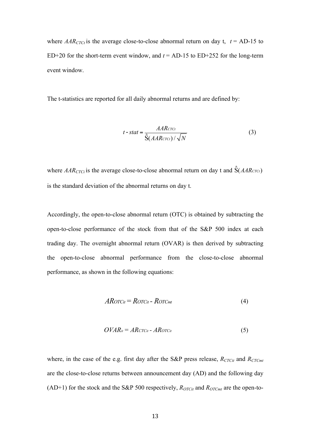where  $AAR_{CTCt}$  is the average close-to-close abnormal return on day t,  $t = AD-15$  to ED+20 for the short-term event window, and  $t = AD-15$  to ED+252 for the long-term event window.

The t-statistics are reported for all daily abnormal returns and are defined by:

$$
t - stat = \frac{AAR_{\text{CTC}t}}{\hat{S}(AAR_{\text{CTC}t})/\sqrt{N}}
$$
(3)

where  $AAR_{CTCi}$  is the average close-to-close abnormal return on day t and  $\hat{S}(AAR_{CTCt})$ is the standard deviation of the abnormal returns on day t.

Accordingly, the open-to-close abnormal return (OTC) is obtained by subtracting the open-to-close performance of the stock from that of the S&P 500 index at each trading day. The overnight abnormal return (OVAR) is then derived by subtracting the open-to-close abnormal performance from the close-to-close abnormal performance, as shown in the following equations:

$$
ARor_{\text{Cit}} = Ror_{\text{Cit}} - Ror_{\text{Cmt}} \tag{4}
$$

$$
OVAR_{it} = ARcr_{\text{Cit}} - ARcr_{\text{Cit}} \tag{5}
$$

where, in the case of the e.g. first day after the S&P press release,  $R_{CTCit}$  and  $R_{CTCmt}$ are the close-to-close returns between announcement day (AD) and the following day (AD+1) for the stock and the S&P 500 respectively,  $R_{OTCit}$  and  $R_{OTCmt}$  are the open-to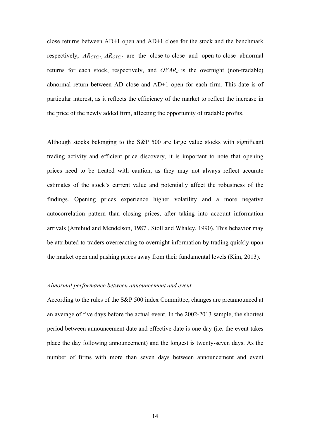close returns between AD+1 open and AD+1 close for the stock and the benchmark respectively, *AR<sub>CTCit</sub>*, *AR*<sub>OTCit</sub> are the close-to-close and open-to-close abnormal returns for each stock, respectively, and  $OVAR_{it}$  is the overnight (non-tradable) abnormal return between AD close and AD+1 open for each firm. This date is of particular interest, as it reflects the efficiency of the market to reflect the increase in the price of the newly added firm, affecting the opportunity of tradable profits.

Although stocks belonging to the S&P 500 are large value stocks with significant trading activity and efficient price discovery, it is important to note that opening prices need to be treated with caution, as they may not always reflect accurate estimates of the stock's current value and potentially affect the robustness of the findings. Opening prices experience higher volatility and a more negative autocorrelation pattern than closing prices, after taking into account information arrivals (Amihud and Mendelson, 1987 , Stoll and Whaley, 1990). This behavior may be attributed to traders overreacting to overnight information by trading quickly upon the market open and pushing prices away from their fundamental levels (Kim, 2013).

#### *Abnormal performance between announcement and event*

According to the rules of the S&P 500 index Committee, changes are preannounced at an average of five days before the actual event. In the 2002-2013 sample, the shortest period between announcement date and effective date is one day (i.e. the event takes place the day following announcement) and the longest is twenty-seven days. As the number of firms with more than seven days between announcement and event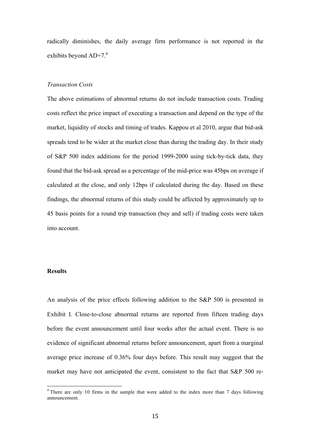radically diminishes, the daily average firm performance is not reported in the exhibits beyond AD+7.<sup>4</sup>

#### *Transaction Costs*

The above estimations of abnormal returns do not include transaction costs. Trading costs reflect the price impact of executing a transaction and depend on the type of the market, liquidity of stocks and timing of trades. Kappou et al 2010, argue that bid-ask spreads tend to be wider at the market close than during the trading day. In their study of S&P 500 index additions for the period 1999-2000 using tick-by-tick data, they found that the bid-ask spread as a percentage of the mid-price was 45bps on average if calculated at the close, and only 12bps if calculated during the day. Based on these findings, the abnormal returns of this study could be affected by approximately up to 45 basis points for a round trip transaction (buy and sell) if trading costs were taken into account.

#### **Results**

An analysis of the price effects following addition to the S&P 500 is presented in Exhibit I. Close-to-close abnormal returns are reported from fifteen trading days before the event announcement until four weeks after the actual event. There is no evidence of significant abnormal returns before announcement, apart from a marginal average price increase of 0.36% four days before. This result may suggest that the market may have not anticipated the event, consistent to the fact that S&P 500 re-

<sup>&</sup>lt;sup>4</sup> There are only 10 firms in the sample that were added to the index more than 7 days following announcement.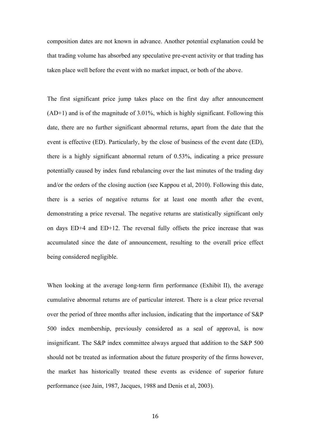composition dates are not known in advance. Another potential explanation could be that trading volume has absorbed any speculative pre-event activity or that trading has taken place well before the event with no market impact, or both of the above.

The first significant price jump takes place on the first day after announcement  $(AD+1)$  and is of the magnitude of 3.01%, which is highly significant. Following this date, there are no further significant abnormal returns, apart from the date that the event is effective (ED). Particularly, by the close of business of the event date (ED), there is a highly significant abnormal return of 0.53%, indicating a price pressure potentially caused by index fund rebalancing over the last minutes of the trading day and/or the orders of the closing auction (see Kappou et al, 2010). Following this date, there is a series of negative returns for at least one month after the event, demonstrating a price reversal. The negative returns are statistically significant only on days ED+4 and ED+12. The reversal fully offsets the price increase that was accumulated since the date of announcement, resulting to the overall price effect being considered negligible.

When looking at the average long-term firm performance (Exhibit II), the average cumulative abnormal returns are of particular interest. There is a clear price reversal over the period of three months after inclusion, indicating that the importance of S&P 500 index membership, previously considered as a seal of approval, is now insignificant. The S&P index committee always argued that addition to the S&P 500 should not be treated as information about the future prosperity of the firms however, the market has historically treated these events as evidence of superior future performance (see Jain, 1987, Jacques, 1988 and Denis et al, 2003).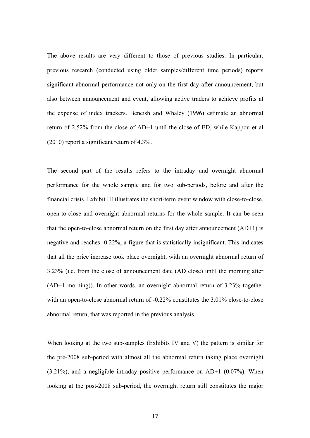The above results are very different to those of previous studies. In particular, previous research (conducted using older samples/different time periods) reports significant abnormal performance not only on the first day after announcement, but also between announcement and event, allowing active traders to achieve profits at the expense of index trackers. Beneish and Whaley (1996) estimate an abnormal return of 2.52% from the close of AD+1 until the close of ED, while Kappou et al (2010) report a significant return of 4.3%.

The second part of the results refers to the intraday and overnight abnormal performance for the whole sample and for two sub-periods, before and after the financial crisis. Exhibit III illustrates the short-term event window with close-to-close, open-to-close and overnight abnormal returns for the whole sample. It can be seen that the open-to-close abnormal return on the first day after announcement  $(AD+1)$  is negative and reaches -0.22%, a figure that is statistically insignificant. This indicates that all the price increase took place overnight, with an overnight abnormal return of 3.23% (i.e. from the close of announcement date (AD close) until the morning after (AD+1 morning)). In other words, an overnight abnormal return of 3.23% together with an open-to-close abnormal return of -0.22% constitutes the 3.01% close-to-close abnormal return, that was reported in the previous analysis.

When looking at the two sub-samples (Exhibits IV and V) the pattern is similar for the pre-2008 sub-period with almost all the abnormal return taking place overnight  $(3.21\%)$ , and a negligible intraday positive performance on AD+1  $(0.07\%)$ . When looking at the post-2008 sub-period, the overnight return still constitutes the major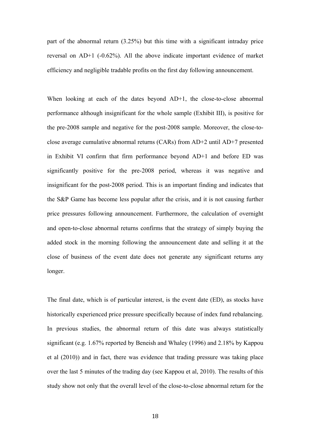part of the abnormal return (3.25%) but this time with a significant intraday price reversal on AD+1 (-0.62%). All the above indicate important evidence of market efficiency and negligible tradable profits on the first day following announcement.

When looking at each of the dates beyond AD+1, the close-to-close abnormal performance although insignificant for the whole sample (Exhibit III), is positive for the pre-2008 sample and negative for the post-2008 sample. Moreover, the close-toclose average cumulative abnormal returns (CARs) from AD+2 until AD+7 presented in Exhibit VI confirm that firm performance beyond AD+1 and before ED was significantly positive for the pre-2008 period, whereas it was negative and insignificant for the post-2008 period. This is an important finding and indicates that the S&P Game has become less popular after the crisis, and it is not causing further price pressures following announcement. Furthermore, the calculation of overnight and open-to-close abnormal returns confirms that the strategy of simply buying the added stock in the morning following the announcement date and selling it at the close of business of the event date does not generate any significant returns any longer.

The final date, which is of particular interest, is the event date (ED), as stocks have historically experienced price pressure specifically because of index fund rebalancing. In previous studies, the abnormal return of this date was always statistically significant (e.g. 1.67% reported by Beneish and Whaley (1996) and 2.18% by Kappou et al (2010)) and in fact, there was evidence that trading pressure was taking place over the last 5 minutes of the trading day (see Kappou et al, 2010). The results of this study show not only that the overall level of the close-to-close abnormal return for the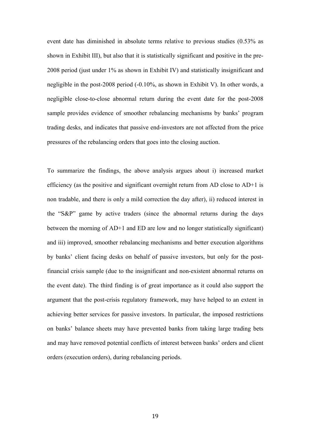event date has diminished in absolute terms relative to previous studies (0.53% as shown in Exhibit III), but also that it is statistically significant and positive in the pre-2008 period (just under 1% as shown in Exhibit IV) and statistically insignificant and negligible in the post-2008 period (-0.10%, as shown in Exhibit V). In other words, a negligible close-to-close abnormal return during the event date for the post-2008 sample provides evidence of smoother rebalancing mechanisms by banks' program trading desks, and indicates that passive end-investors are not affected from the price pressures of the rebalancing orders that goes into the closing auction.

To summarize the findings, the above analysis argues about i) increased market efficiency (as the positive and significant overnight return from AD close to AD+1 is non tradable, and there is only a mild correction the day after), ii) reduced interest in the "S&P" game by active traders (since the abnormal returns during the days between the morning of AD+1 and ED are low and no longer statistically significant) and iii) improved, smoother rebalancing mechanisms and better execution algorithms by banks' client facing desks on behalf of passive investors, but only for the postfinancial crisis sample (due to the insignificant and non-existent abnormal returns on the event date). The third finding is of great importance as it could also support the argument that the post-crisis regulatory framework, may have helped to an extent in achieving better services for passive investors. In particular, the imposed restrictions on banks' balance sheets may have prevented banks from taking large trading bets and may have removed potential conflicts of interest between banks' orders and client orders (execution orders), during rebalancing periods.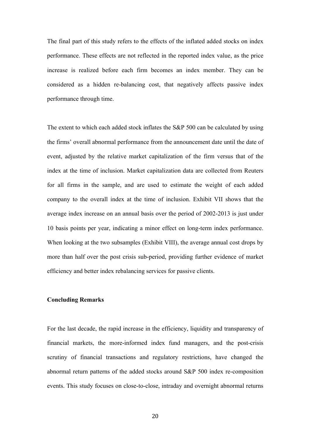The final part of this study refers to the effects of the inflated added stocks on index performance. These effects are not reflected in the reported index value, as the price increase is realized before each firm becomes an index member. They can be considered as a hidden re-balancing cost, that negatively affects passive index performance through time.

The extent to which each added stock inflates the S&P 500 can be calculated by using the firms' overall abnormal performance from the announcement date until the date of event, adjusted by the relative market capitalization of the firm versus that of the index at the time of inclusion. Market capitalization data are collected from Reuters for all firms in the sample, and are used to estimate the weight of each added company to the overall index at the time of inclusion. Exhibit VII shows that the average index increase on an annual basis over the period of 2002-2013 is just under 10 basis points per year, indicating a minor effect on long-term index performance. When looking at the two subsamples (Exhibit VIII), the average annual cost drops by more than half over the post crisis sub-period, providing further evidence of market efficiency and better index rebalancing services for passive clients.

#### **Concluding Remarks**

For the last decade, the rapid increase in the efficiency, liquidity and transparency of financial markets, the more-informed index fund managers, and the post-crisis scrutiny of financial transactions and regulatory restrictions, have changed the abnormal return patterns of the added stocks around S&P 500 index re-composition events. This study focuses on close-to-close, intraday and overnight abnormal returns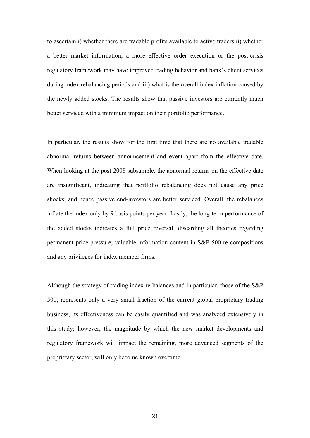to ascertain i) whether there are tradable profits available to active traders ii) whether a better market information, a more effective order execution or the post-crisis regulatory framework may have improved trading behavior and bank's client services during index rebalancing periods and iii) what is the overall index inflation caused by the newly added stocks. The results show that passive investors are currently much better serviced with a minimum impact on their portfolio performance.

In particular, the results show for the first time that there are no available tradable abnormal returns between announcement and event apart from the effective date. When looking at the post 2008 subsample, the abnormal returns on the effective date are insignificant, indicating that portfolio rebalancing does not cause any price shocks, and hence passive end-investors are better serviced. Overall, the rebalances inflate the index only by 9 basis points per year. Lastly, the long-term performance of the added stocks indicates a full price reversal, discarding all theories regarding permanent price pressure, valuable information content in S&P 500 re-compositions and any privileges for index member firms.

Although the strategy of trading index re-balances and in particular, those of the S&P 500, represents only a very small fraction of the current global proprietary trading business, its effectiveness can be easily quantified and was analyzed extensively in this study; however, the magnitude by which the new market developments and regulatory framework will impact the remaining, more advanced segments of the proprietary sector, will only become known overtime…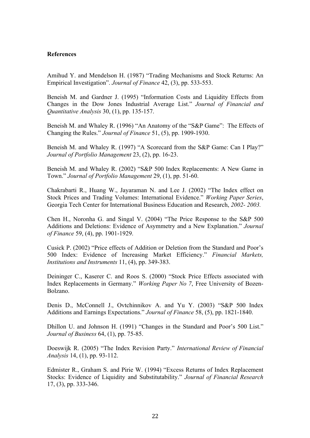#### **References**

Amihud Y. and Mendelson H. (1987) "Trading Mechanisms and Stock Returns: An Empirical Investigation". *Journal of Finance* 42, (3), pp. 533-553.

Beneish M. and Gardner J. (1995) "Information Costs and Liquidity Effects from Changes in the Dow Jones Industrial Average List." *Journal of Financial and Quantitative Analysis* 30, (1), pp. 135-157.

Beneish M. and Whaley R. (1996) "An Anatomy of the "S&P Game": The Effects of Changing the Rules." *Journal of Finance* 51, (5), pp. 1909-1930.

Beneish M. and Whaley R. (1997) "A Scorecard from the S&P Game: Can I Play?" *Journal of Portfolio Management* 23, (2), pp. 16-23.

Beneish M. and Whaley R. (2002) "S&P 500 Index Replacements: A New Game in Town." *Journal of Portfolio Management* 29, (1), pp. 51-60.

Chakrabarti R., Huang W., Jayaraman N. and Lee J. (2002) "The Index effect on Stock Prices and Trading Volumes: International Evidence." *Working Paper Series*, Georgia Tech Center for International Business Education and Research, *2002- 2003.*

Chen H., Noronha G. and Singal V. (2004) "The Price Response to the S&P 500 Additions and Deletions: Evidence of Asymmetry and a New Explanation." *Journal of Finance* 59, (4), pp. 1901-1929.

Cusick P. (2002) "Price effects of Addition or Deletion from the Standard and Poor's 500 Index: Evidence of Increasing Market Efficiency." *Financial Markets, Institutions and Instruments* 11, (4), pp. 349-383.

Deininger C., Kaserer C. and Roos S. (2000) "Stock Price Effects associated with Index Replacements in Germany." *Working Paper No 7*, Free University of Bozen-Bolzano.

Denis D., McConnell J., Ovtchinnikov A. and Yu Y. (2003) "S&P 500 Index Additions and Earnings Expectations." *Journal of Finance* 58, (5), pp. 1821-1840.

Dhillon U. and Johnson H. (1991) "Changes in the Standard and Poor's 500 List." *Journal of Business* 64, (1), pp. 75-85.

Doeswijk R. (2005) "The Index Revision Party." *International Review of Financial Analysis* 14, (1), pp. 93-112.

Edmister R., Graham S. and Pirie W. (1994) "Excess Returns of Index Replacement Stocks: Evidence of Liquidity and Substitutability." *Journal of Financial Research* 17, (3), pp. 333-346.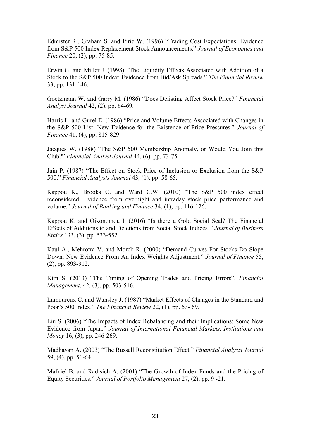Edmister R., Graham S. and Pirie W. (1996) "Trading Cost Expectations: Evidence from S&P 500 Index Replacement Stock Announcements." *Journal of Economics and Finance* 20, (2), pp. 75-85.

Erwin G. and Miller J. (1998) "The Liquidity Effects Associated with Addition of a Stock to the S&P 500 Index: Evidence from Bid/Ask Spreads." *The Financial Review* 33, pp. 131-146.

Goetzmann W. and Garry M. (1986) "Does Delisting Affect Stock Price?" *Financial Analyst Journal* 42, (2), pp. 64-69.

Harris L. and Gurel E. (1986) "Price and Volume Effects Associated with Changes in the S&P 500 List: New Evidence for the Existence of Price Pressures." *Journal of Finance* 41, (4), pp. 815-829.

Jacques W. (1988) "The S&P 500 Membership Anomaly, or Would You Join this Club?" *Financial Analyst Journal* 44, (6), pp. 73-75.

Jain P. (1987) "The Effect on Stock Price of Inclusion or Exclusion from the S&P 500." *Financial Analysts Journal* 43, (1), pp. 58-65.

Kappou K., Brooks C. and Ward C.W. (2010) "The S&P 500 index effect reconsidered: Evidence from overnight and intraday stock price performance and volume." *Journal of Banking and Finance* 34, (1), pp. 116-126.

Kappou K. and Oikonomou I. (2016) "Is there a Gold Social Seal? The Financial Effects of Additions to and Deletions from Social Stock Indices*." Journal of Business Ethics* 133, (3), pp. 533-552.

Kaul A., Mehrotra V. and Morck R. (2000) "Demand Curves For Stocks Do Slope Down: New Evidence From An Index Weights Adjustment." *Journal of Finance* 55, (2), pp. 893-912.

Kim S. (2013) "The Timing of Opening Trades and Pricing Errors". *Financial Management,* 42, (3), pp. 503-516.

Lamoureux C. and Wansley J. (1987) "Market Effects of Changes in the Standard and Poor's 500 Index." *The Financial Review* 22, (1), pp. 53- 69.

Liu S. (2006) "The Impacts of Index Rebalancing and their Implications: Some New Evidence from Japan." *Journal of International Financial Markets, Institutions and Money* 16, (3), pp. 246-269.

Madhavan A. (2003) "The Russell Reconstitution Effect." *Financial Analysts Journal* 59, (4), pp. 51-64.

Malkiel B. and Radisich A. (2001) "The Growth of Index Funds and the Pricing of Equity Securities." *Journal of Portfolio Management* 27, (2), pp. 9 -21.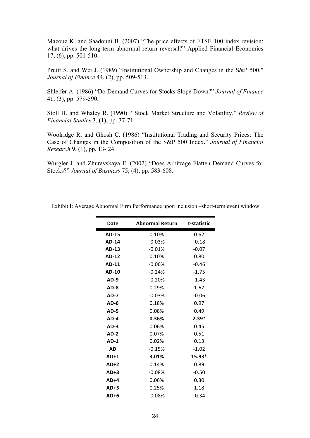Mazouz K. and Saadouni B. (2007) "The price effects of FTSE 100 index revision: what drives the long-term abnormal return reversal?" Applied Financial Economics 17, (6), pp. 501-510.

Pruitt S. and Wei J. (1989) "Institutional Ownership and Changes in the S&P 500." *Journal of Finance* 44, (2), pp. 509-513.

Shleifer A. (1986) "Do Demand Curves for Stocks Slope Down?" *Journal of Finance* 41, (3), pp. 579-590.

Stoll H. and Whaley R. (1990) " Stock Market Structure and Volatility." *Review of Financial Studies* 3, (1), pp. 37-71.

Woolridge R. and Ghosh C. (1986) "Institutional Trading and Security Prices: The Case of Changes in the Composition of the S&P 500 Index." *Journal of Financial Research* 9, (1), pp. 13- 24.

Wurgler J. and Zhuravskaya E. (2002) "Does Arbitrage Flatten Demand Curves for Stocks?" *Journal of Business* 75, (4), pp. 583-608.

| <b>Date</b>  | <b>Abnormal Return</b> | t-statistic |
|--------------|------------------------|-------------|
| <b>AD-15</b> | 0.10%                  | 0.62        |
| <b>AD-14</b> | -0.03%                 | $-0.18$     |
| AD-13        | $-0.01%$               | $-0.07$     |
| <b>AD-12</b> | 0.10%                  | 0.80        |
| AD-11        | $-0.06%$               | $-0.46$     |
| AD-10        | $-0.24%$               | $-1.75$     |
| $AD-9$       | $-0.20%$               | $-1.43$     |
| AD-8         | 0.29%                  | 1.67        |
| <b>AD-7</b>  | $-0.03%$               | $-0.06$     |
| $AD-6$       | 0.18%                  | 0.97        |
| AD-5         | 0.08%                  | 0.49        |
| AD-4         | 0.36%                  | $2.39*$     |
| $AD-3$       | 0.06%                  | 0.45        |
| <b>AD-2</b>  | 0.07%                  | 0.51        |
| $AD-1$       | 0.02%                  | 0.13        |
| AD           | $-0.15%$               | $-1.02$     |
| $AD+1$       | 3.01%                  | 15.93*      |
| $AD+2$       | 0.14%                  | 0.89        |
| $AD+3$       | $-0.08%$               | $-0.50$     |
| $AD+4$       | 0.06%                  | 0.30        |
| AD+5         | 0.25%                  | 1.18        |
| $AD+6$       | $-0.08%$               | $-0.34$     |

Exhibit I: Average Abnormal Firm Performance upon inclusion –short-term event window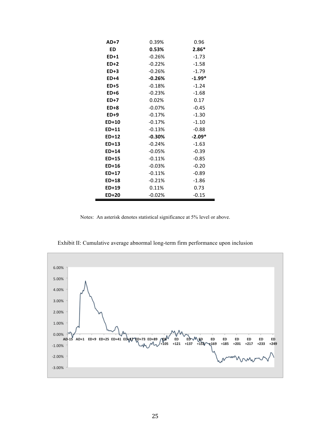| <b>AD+7</b>  | 0.39%    | 0.96     |
|--------------|----------|----------|
| ED           | 0.53%    | $2.86*$  |
| ED+1         | $-0.26%$ | $-1.73$  |
| ED+2         | $-0.22%$ | $-1.58$  |
| $ED+3$       | $-0.26%$ | $-1.79$  |
| ED+4         | $-0.26%$ | $-1.99*$ |
| <b>ED+5</b>  | $-0.18%$ | $-1.24$  |
| $ED+6$       | $-0.23%$ | $-1.68$  |
| <b>ED+7</b>  | 0.02%    | 0.17     |
| $ED+8$       | $-0.07%$ | $-0.45$  |
| $ED+9$       | $-0.17%$ | $-1.30$  |
| ED+10        | $-0.17%$ | $-1.10$  |
| ED+11        | $-0.13%$ | $-0.88$  |
| $ED+12$      | $-0.30%$ | $-2.09*$ |
| $ED+13$      | $-0.24%$ | $-1.63$  |
| ED+14        | $-0.05%$ | $-0.39$  |
| ED+15        | $-0.11%$ | $-0.85$  |
| ED+16        | $-0.03%$ | $-0.20$  |
| ED+17        | $-0.11%$ | $-0.89$  |
| ED+18        | $-0.21%$ | $-1.86$  |
| $ED+19$      | 0.11%    | 0.73     |
| <b>ED+20</b> | $-0.02%$ | $-0.15$  |

Notes: An asterisk denotes statistical significance at 5% level or above.



Exhibit II: Cumulative average abnormal long-term firm performance upon inclusion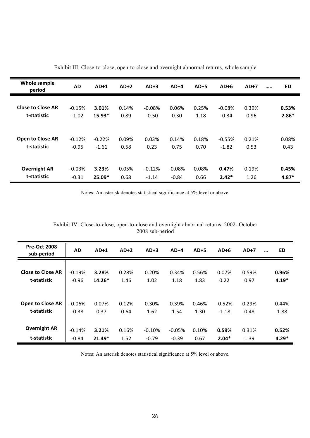| Whole sample<br>period   | <b>AD</b> | $AD+1$   | $AD+2$ | $AD+3$    | $AD+4$   | $AD+5$ | $AD+6$   | $AD+7$ | <br>ED  |
|--------------------------|-----------|----------|--------|-----------|----------|--------|----------|--------|---------|
| <b>Close to Close AR</b> | $-0.15%$  | 3.01%    | 0.14%  | $-0.08\%$ | 0.06%    | 0.25%  | $-0.08%$ | 0.39%  | 0.53%   |
| t-statistic              | $-1.02$   | $15.93*$ | 0.89   | $-0.50$   | 0.30     | 1.18   | $-0.34$  | 0.96   | $2.86*$ |
| <b>Open to Close AR</b>  | $-0.12%$  | $-0.22%$ | 0.09%  | 0.03%     | 0.14%    | 0.18%  | $-0.55%$ | 0.21%  | 0.08%   |
| t-statistic              | $-0.95$   | $-1.61$  | 0.58   | 0.23      | 0.75     | 0.70   | $-1.82$  | 0.53   | 0.43    |
| <b>Overnight AR</b>      | $-0.03%$  | 3.23%    | 0.05%  | $-0.12%$  | $-0.08%$ | 0.08%  | 0.47%    | 0.19%  | 0.45%   |
| t-statistic              | $-0.31$   | $25.09*$ | 0.68   | $-1.14$   | $-0.84$  | 0.66   | $2.42*$  | 1.26   | $4.87*$ |

Exhibit III: Close-to-close, open-to-close and overnight abnormal returns, whole sample

Notes: An asterisk denotes statistical significance at 5% level or above.

| Exhibit IV: Close-to-close, open-to-close and overnight abnormal returns, 2002- October |  |
|-----------------------------------------------------------------------------------------|--|
| 2008 sub-period                                                                         |  |

| <b>Pre-Oct 2008</b><br>sub-period | AD       | $AD+1$   | $AD+2$ | $AD+3$   | $AD+4$   | $AD+5$ | $AD+6$   | $AD+7$ | $\ddotsc$ | <b>ED</b> |
|-----------------------------------|----------|----------|--------|----------|----------|--------|----------|--------|-----------|-----------|
| Close to Close AR                 | $-0.19%$ | 3.28%    | 0.28%  | 0.20%    | 0.34%    | 0.56%  | 0.07%    | 0.59%  |           | 0.96%     |
| t-statistic                       | $-0.96$  | $14.26*$ | 1.46   | 1.02     | 1.18     | 1.83   | 0.22     | 0.97   |           | $4.19*$   |
| Open to Close AR                  | $-0.06%$ | 0.07%    | 0.12%  | 0.30%    | 0.39%    | 0.46%  | $-0.52%$ | 0.29%  |           | 0.44%     |
| t-statistic                       | $-0.38$  | 0.37     | 0.64   | 1.62     | 1.54     | 1.30   | $-1.18$  | 0.48   |           | 1.88      |
| <b>Overnight AR</b>               | $-0.14%$ | 3.21%    | 0.16%  | $-0.10%$ | $-0.05%$ | 0.10%  | 0.59%    | 0.31%  |           | 0.52%     |
| t-statistic                       | $-0.84$  | $21.49*$ | 1.52   | $-0.79$  | $-0.39$  | 0.67   | $2.04*$  | 1.39   |           | $4.29*$   |

Notes: An asterisk denotes statistical significance at 5% level or above.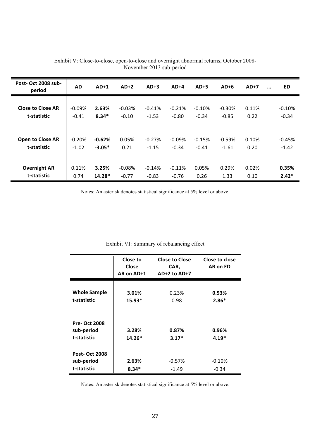| Post-Oct 2008 sub-<br>period | AD.      | $AD+1$   | $AD+2$   | $AD+3$   | $AD+4$   | $AD+5$   | $AD+6$   | $AD+7$ | ED<br>$\cdots$ |
|------------------------------|----------|----------|----------|----------|----------|----------|----------|--------|----------------|
| <b>Close to Close AR</b>     | $-0.09%$ | 2.63%    | $-0.03%$ | $-0.41%$ | $-0.21%$ | $-0.10%$ | $-0.30%$ | 0.11%  | $-0.10%$       |
| t-statistic                  | $-0.41$  | $8.34*$  | $-0.10$  | $-1.53$  | $-0.80$  | $-0.34$  | $-0.85$  | 0.22   | $-0.34$        |
| <b>Open to Close AR</b>      | $-0.20%$ | $-0.62%$ | 0.05%    | $-0.27%$ | $-0.09%$ | $-0.15%$ | $-0.59%$ | 0.10%  | $-0.45%$       |
| t-statistic                  | $-1.02$  | $-3.05*$ | 0.21     | $-1.15$  | $-0.34$  | $-0.41$  | $-1.61$  | 0.20   | $-1.42$        |
| <b>Overnight AR</b>          | 0.11%    | 3.25%    | $-0.08%$ | $-0.14%$ | $-0.11%$ | 0.05%    | 0.29%    | 0.02%  | 0.35%          |
| t-statistic                  | 0.74     | $14.28*$ | $-0.77$  | $-0.83$  | $-0.76$  | 0.26     | 1.33     | 0.10   | $2.42*$        |

Exhibit V: Close-to-close, open-to-close and overnight abnormal returns, October 2008- November 2013 sub-period

Notes: An asterisk denotes statistical significance at 5% level or above.

|                      | Close to<br>Close<br>AR on AD+1 | <b>Close to Close</b><br>CAR,<br>$AD+2$ to $AD+7$ | Close to close<br>AR on ED |
|----------------------|---------------------------------|---------------------------------------------------|----------------------------|
| <b>Whole Sample</b>  | 3.01%                           | 0.23%                                             | 0.53%                      |
| t-statistic          | $15.93*$                        | 0.98                                              | $2.86*$                    |
| <b>Pre-Oct 2008</b>  |                                 |                                                   |                            |
| sub-period           | 3.28%                           | 0.87%                                             | 0.96%                      |
| t-statistic          | $14.26*$                        | $3.17*$                                           | $4.19*$                    |
| <b>Post-Oct 2008</b> |                                 |                                                   |                            |
| sub-period           | 2.63%                           | $-0.57\%$                                         | $-0.10%$                   |
| t-statistic          | $8.34*$                         | $-1.49$                                           | $-0.34$                    |

### Exhibit VI: Summary of rebalancing effect

Notes: An asterisk denotes statistical significance at 5% level or above.